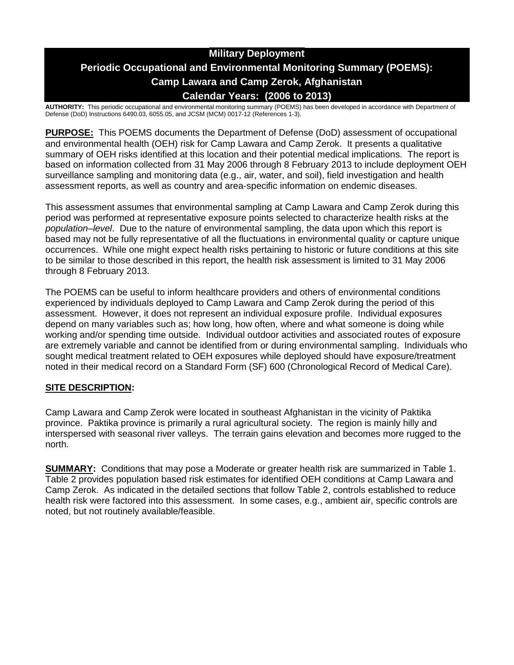# **Military Deployment Periodic Occupational and Environmental Monitoring Summary (POEMS): Camp Lawara and Camp Zerok, Afghanistan Calendar Years: (2006 to 2013)**

**AUTHORITY:** This periodic occupational and environmental monitoring summary (POEMS) has been developed in accordance with Department of Defense (DoD) Instructions 6490.03, 6055.05, and JCSM (MCM) 0017-12 (References 1-3).

**PURPOSE:** This POEMS documents the Department of Defense (DoD) assessment of occupational and environmental health (OEH) risk for Camp Lawara and Camp Zerok. It presents a qualitative summary of OEH risks identified at this location and their potential medical implications. The report is based on information collected from 31 May 2006 through 8 February 2013 to include deployment OEH surveillance sampling and monitoring data (e.g., air, water, and soil), field investigation and health assessment reports, as well as country and area-specific information on endemic diseases.

This assessment assumes that environmental sampling at Camp Lawara and Camp Zerok during this period was performed at representative exposure points selected to characterize health risks at the *population–level*. Due to the nature of environmental sampling, the data upon which this report is based may not be fully representative of all the fluctuations in environmental quality or capture unique occurrences. While one might expect health risks pertaining to historic or future conditions at this site to be similar to those described in this report, the health risk assessment is limited to 31 May 2006 through 8 February 2013.

The POEMS can be useful to inform healthcare providers and others of environmental conditions experienced by individuals deployed to Camp Lawara and Camp Zerok during the period of this assessment. However, it does not represent an individual exposure profile. Individual exposures depend on many variables such as; how long, how often, where and what someone is doing while working and/or spending time outside. Individual outdoor activities and associated routes of exposure are extremely variable and cannot be identified from or during environmental sampling. Individuals who sought medical treatment related to OEH exposures while deployed should have exposure/treatment noted in their medical record on a Standard Form (SF) 600 (Chronological Record of Medical Care).

# **SITE DESCRIPTION:**

Camp Lawara and Camp Zerok were located in southeast Afghanistan in the vicinity of Paktika province. Paktika province is primarily a rural agricultural society. The region is mainly hilly and interspersed with seasonal river valleys. The terrain gains elevation and becomes more rugged to the north.

**SUMMARY:** Conditions that may pose a Moderate or greater health risk are summarized in Table 1. Table 2 provides population based risk estimates for identified OEH conditions at Camp Lawara and Camp Zerok. As indicated in the detailed sections that follow Table 2, controls established to reduce health risk were factored into this assessment. In some cases, e.g., ambient air, specific controls are noted, but not routinely available/feasible.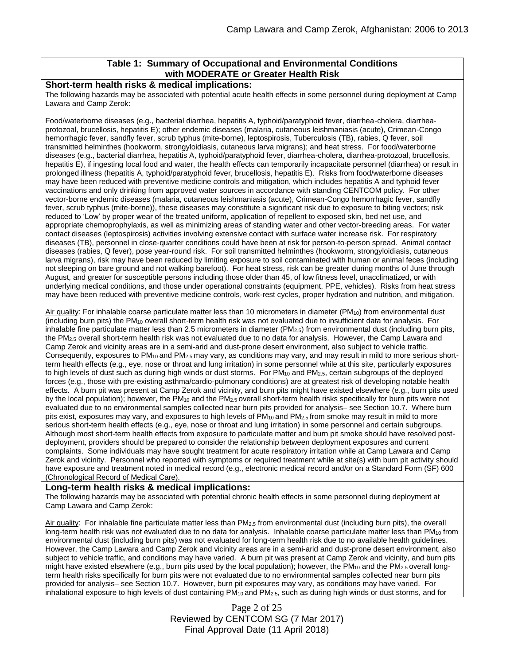# **Table 1: Summary of Occupational and Environmental Conditions with MODERATE or Greater Health Risk**

### **Short-term health risks & medical implications:**

The following hazards may be associated with potential acute health effects in some personnel during deployment at Camp Lawara and Camp Zerok:

Food/waterborne diseases (e.g., bacterial diarrhea, hepatitis A, typhoid/paratyphoid fever, diarrhea-cholera, diarrheaprotozoal, brucellosis, hepatitis E); other endemic diseases (malaria, cutaneous leishmaniasis (acute), Crimean-Congo hemorrhagic fever, sandfly fever, scrub typhus (mite-borne), leptospirosis, Tuberculosis (TB), rabies, Q fever, soil transmitted helminthes (hookworm, strongyloidiasis, cutaneous larva migrans); and heat stress. For food/waterborne diseases (e.g., bacterial diarrhea, hepatitis A, typhoid/paratyphoid fever, diarrhea-cholera, diarrhea-protozoal, brucellosis, hepatitis E), if ingesting local food and water, the health effects can temporarily incapacitate personnel (diarrhea) or result in prolonged illness (hepatitis A, typhoid/paratyphoid fever, brucellosis, hepatitis E). Risks from food/waterborne diseases may have been reduced with preventive medicine controls and mitigation, which includes hepatitis A and typhoid fever vaccinations and only drinking from approved water sources in accordance with standing CENTCOM policy. For other vector-borne endemic diseases (malaria, cutaneous leishmaniasis (acute), Crimean-Congo hemorrhagic fever, sandfly fever, scrub typhus (mite-borne)), these diseases may constitute a significant risk due to exposure to biting vectors; risk reduced to 'Low' by proper wear of the treated uniform, application of repellent to exposed skin, bed net use, and appropriate chemoprophylaxis, as well as minimizing areas of standing water and other vector-breeding areas. For water contact diseases (leptospirosis) activities involving extensive contact with surface water increase risk. For respiratory diseases (TB), personnel in close-quarter conditions could have been at risk for person-to-person spread. Animal contact diseases (rabies, Q fever), pose year-round risk. For soil transmitted helminthes (hookworm, strongyloidiasis, cutaneous larva migrans), risk may have been reduced by limiting exposure to soil contaminated with human or animal feces (including not sleeping on bare ground and not walking barefoot). For heat stress, risk can be greater during months of June through August, and greater for susceptible persons including those older than 45, of low fitness level, unacclimatized, or with underlying medical conditions, and those under operational constraints (equipment, PPE, vehicles). Risks from heat stress may have been reduced with preventive medicine controls, work-rest cycles, proper hydration and nutrition, and mitigation.

Air quality: For inhalable coarse particulate matter less than 10 micrometers in diameter ( $PM_{10}$ ) from environmental dust (including burn pits) the PM<sup>10</sup> overall short-term health risk was not evaluated due to insufficient data for analysis. For inhalable fine particulate matter less than 2.5 micrometers in diameter ( $PM_{2.5}$ ) from environmental dust (including burn pits, the PM2.5 overall short-term health risk was not evaluated due to no data for analysis. However, the Camp Lawara and Camp Zerok and vicinity areas are in a semi-arid and dust-prone desert environment, also subject to vehicle traffic. Consequently, exposures to  $PM_{10}$  and  $PM_{2.5}$  may vary, as conditions may vary, and may result in mild to more serious shortterm health effects (e.g., eye, nose or throat and lung irritation) in some personnel while at this site, particularly exposures to high levels of dust such as during high winds or dust storms. For PM<sub>10</sub> and PM<sub>2.5</sub>, certain subgroups of the deployed forces (e.g., those with pre-existing asthma/cardio-pulmonary conditions) are at greatest risk of developing notable health effects. A burn pit was present at Camp Zerok and vicinity, and burn pits might have existed elsewhere (e.g., burn pits used by the local population); however, the PM<sub>10</sub> and the PM<sub>2.5</sub> overall short-term health risks specifically for burn pits were not evaluated due to no environmental samples collected near burn pits provided for analysis– see Section 10.7. Where burn pits exist, exposures may vary, and exposures to high levels of PM<sub>10</sub> and PM<sub>2.5</sub> from smoke may result in mild to more serious short-term health effects (e.g., eye, nose or throat and lung irritation) in some personnel and certain subgroups. Although most short-term health effects from exposure to particulate matter and burn pit smoke should have resolved postdeployment, providers should be prepared to consider the relationship between deployment exposures and current complaints. Some individuals may have sought treatment for acute respiratory irritation while at Camp Lawara and Camp Zerok and vicinity. Personnel who reported with symptoms or required treatment while at site(s) with burn pit activity should have exposure and treatment noted in medical record (e.g., electronic medical record and/or on a Standard Form (SF) 600 (Chronological Record of Medical Care).

#### **Long-term health risks & medical implications:**

The following hazards may be associated with potential chronic health effects in some personnel during deployment at Camp Lawara and Camp Zerok:

Air quality: For inhalable fine particulate matter less than  $PM_{2.5}$  from environmental dust (including burn pits), the overall long-term health risk was not evaluated due to no data for analysis. Inhalable coarse particulate matter less than PM<sub>10</sub> from environmental dust (including burn pits) was not evaluated for long-term health risk due to no available health guidelines. However, the Camp Lawara and Camp Zerok and vicinity areas are in a semi-arid and dust-prone desert environment, also subject to vehicle traffic, and conditions may have varied. A burn pit was present at Camp Zerok and vicinity, and burn pits might have existed elsewhere (e.g., burn pits used by the local population); however, the  $PM_{10}$  and the  $PM_{2.5}$  overall longterm health risks specifically for burn pits were not evaluated due to no environmental samples collected near burn pits provided for analysis– see Section 10.7. However, burn pit exposures may vary, as conditions may have varied. For inhalational exposure to high levels of dust containing PM10 and PM2.5, such as during high winds or dust storms, and for

> Page 2 of 25 Reviewed by CENTCOM SG (7 Mar 2017) Final Approval Date (11 April 2018)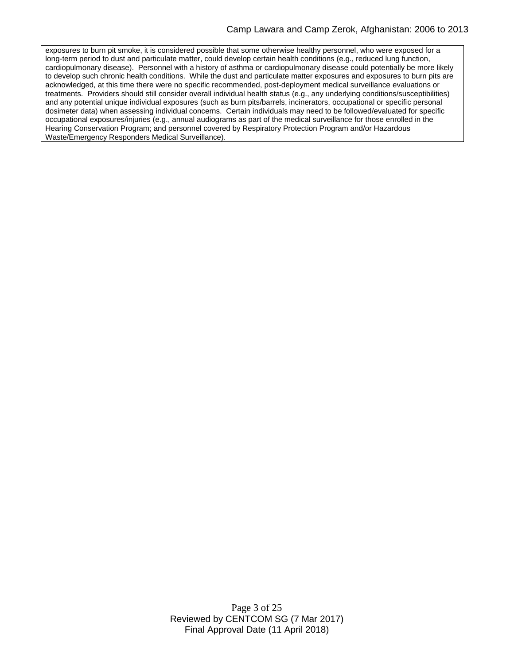exposures to burn pit smoke, it is considered possible that some otherwise healthy personnel, who were exposed for a long-term period to dust and particulate matter, could develop certain health conditions (e.g., reduced lung function, cardiopulmonary disease). Personnel with a history of asthma or cardiopulmonary disease could potentially be more likely to develop such chronic health conditions. While the dust and particulate matter exposures and exposures to burn pits are acknowledged, at this time there were no specific recommended, post-deployment medical surveillance evaluations or treatments. Providers should still consider overall individual health status (e.g., any underlying conditions/susceptibilities) and any potential unique individual exposures (such as burn pits/barrels, incinerators, occupational or specific personal dosimeter data) when assessing individual concerns. Certain individuals may need to be followed/evaluated for specific occupational exposures/injuries (e.g., annual audiograms as part of the medical surveillance for those enrolled in the Hearing Conservation Program; and personnel covered by Respiratory Protection Program and/or Hazardous Waste/Emergency Responders Medical Surveillance).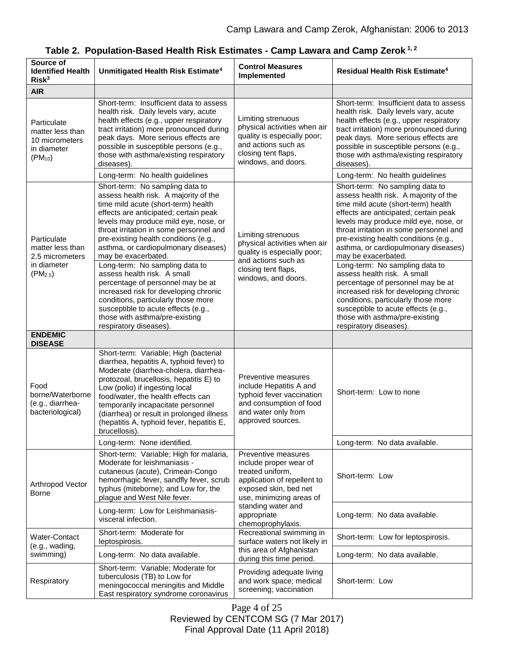| Source of<br><b>Identified Health</b><br>Risk <sup>3</sup>                                | Unmitigated Health Risk Estimate <sup>4</sup>                                                                                                                                                                                                                                                                                                                                                  | <b>Control Measures</b><br>Implemented                                                                                                                                                                          | <b>Residual Health Risk Estimate<sup>4</sup></b>                                                                                                                                                                                                                                                                                                   |
|-------------------------------------------------------------------------------------------|------------------------------------------------------------------------------------------------------------------------------------------------------------------------------------------------------------------------------------------------------------------------------------------------------------------------------------------------------------------------------------------------|-----------------------------------------------------------------------------------------------------------------------------------------------------------------------------------------------------------------|----------------------------------------------------------------------------------------------------------------------------------------------------------------------------------------------------------------------------------------------------------------------------------------------------------------------------------------------------|
| <b>AIR</b>                                                                                |                                                                                                                                                                                                                                                                                                                                                                                                |                                                                                                                                                                                                                 |                                                                                                                                                                                                                                                                                                                                                    |
| Particulate<br>matter less than<br>10 micrometers<br>in diameter<br>$(PM_{10})$           | Short-term: Insufficient data to assess<br>health risk. Daily levels vary, acute<br>health effects (e.g., upper respiratory<br>tract irritation) more pronounced during<br>peak days. More serious effects are<br>possible in susceptible persons (e.g.,<br>those with asthma/existing respiratory<br>diseases)<br>Long-term: No health guidelines                                             | Limiting strenuous<br>physical activities when air<br>quality is especially poor;<br>and actions such as<br>closing tent flaps,<br>windows, and doors.                                                          | Short-term: Insufficient data to assess<br>health risk. Daily levels vary, acute<br>health effects (e.g., upper respiratory<br>tract irritation) more pronounced during<br>peak days. More serious effects are<br>possible in susceptible persons (e.g.,<br>those with asthma/existing respiratory<br>diseases)<br>Long-term: No health guidelines |
| Particulate<br>matter less than<br>2.5 micrometers<br>in diameter<br>(PM <sub>2.5</sub> ) | Short-term: No sampling data to<br>assess health risk. A majority of the                                                                                                                                                                                                                                                                                                                       | Limiting strenuous<br>physical activities when air<br>quality is especially poor;<br>and actions such as<br>closing tent flaps,<br>windows, and doors.                                                          | Short-term: No sampling data to<br>assess health risk. A majority of the                                                                                                                                                                                                                                                                           |
|                                                                                           | time mild acute (short-term) health<br>effects are anticipated; certain peak<br>levels may produce mild eye, nose, or<br>throat irritation in some personnel and<br>pre-existing health conditions (e.g.,<br>asthma, or cardiopulmonary diseases)<br>may be exacerbated.                                                                                                                       |                                                                                                                                                                                                                 | time mild acute (short-term) health<br>effects are anticipated; certain peak<br>levels may produce mild eye, nose, or<br>throat irritation in some personnel and<br>pre-existing health conditions (e.g.,<br>asthma, or cardiopulmonary diseases)<br>may be exacerbated.                                                                           |
|                                                                                           | Long-term: No sampling data to<br>assess health risk. A small<br>percentage of personnel may be at<br>increased risk for developing chronic<br>conditions, particularly those more<br>susceptible to acute effects (e.g.,<br>those with asthma/pre-existing<br>respiratory diseases).                                                                                                          |                                                                                                                                                                                                                 | Long-term: No sampling data to<br>assess health risk. A small<br>percentage of personnel may be at<br>increased risk for developing chronic<br>conditions, particularly those more<br>susceptible to acute effects (e.g.,<br>those with asthma/pre-existing<br>respiratory diseases).                                                              |
| <b>ENDEMIC</b><br><b>DISEASE</b>                                                          |                                                                                                                                                                                                                                                                                                                                                                                                |                                                                                                                                                                                                                 |                                                                                                                                                                                                                                                                                                                                                    |
| Food<br>borne/Waterborne<br>(e.g., diarrhea-<br>bacteriological)                          | Short-term: Variable; High (bacterial<br>diarrhea, hepatitis A, typhoid fever) to<br>Moderate (diarrhea-cholera, diarrhea-<br>protozoal, brucellosis, hepatitis E) to<br>Low (polio) if ingesting local<br>food/water, the health effects can<br>temporarily incapacitate personnel<br>(diarrhea) or result in prolonged illness<br>(hepatitis A, typhoid fever, hepatitis E,<br>brucellosis). | Preventive measures<br>include Hepatitis A and<br>typhoid fever vaccination<br>and consumption of food<br>and water only from<br>approved sources.                                                              | Short-term: Low to none                                                                                                                                                                                                                                                                                                                            |
|                                                                                           | Long-term: None identified.                                                                                                                                                                                                                                                                                                                                                                    |                                                                                                                                                                                                                 | Long-term: No data available.                                                                                                                                                                                                                                                                                                                      |
| Arthropod Vector<br><b>Borne</b>                                                          | Short-term: Variable; High for malaria,<br>Moderate for leishmaniasis -<br>cutaneous (acute), Crimean-Congo<br>hemorrhagic fever, sandfly fever, scrub<br>typhus (miteborne); and Low for, the<br>plague and West Nile fever.                                                                                                                                                                  | Preventive measures<br>include proper wear of<br>treated uniform,<br>application of repellent to<br>exposed skin, bed net<br>use, minimizing areas of<br>standing water and<br>appropriate<br>chemoprophylaxis. | Short-term: Low                                                                                                                                                                                                                                                                                                                                    |
|                                                                                           | Long-term: Low for Leishmaniasis-<br>visceral infection.                                                                                                                                                                                                                                                                                                                                       |                                                                                                                                                                                                                 | Long-term: No data available.                                                                                                                                                                                                                                                                                                                      |
| Water-Contact<br>(e.g., wading,<br>swimming)                                              | Short-term: Moderate for<br>leptospirosis.                                                                                                                                                                                                                                                                                                                                                     | Recreational swimming in<br>surface waters not likely in<br>this area of Afghanistan<br>during this time period.                                                                                                | Short-term: Low for leptospirosis.                                                                                                                                                                                                                                                                                                                 |
|                                                                                           | Long-term: No data available.                                                                                                                                                                                                                                                                                                                                                                  |                                                                                                                                                                                                                 | Long-term: No data available.                                                                                                                                                                                                                                                                                                                      |
| Respiratory                                                                               | Short-term: Variable; Moderate for<br>tuberculosis (TB) to Low for<br>meningococcal meningitis and Middle<br>East respiratory syndrome coronavirus                                                                                                                                                                                                                                             | Providing adequate living<br>and work space; medical<br>screening; vaccination                                                                                                                                  | Short-term: Low                                                                                                                                                                                                                                                                                                                                    |

| Table 2. Population-Based Health Risk Estimates - Camp Lawara and Camp Zerok 1, 2 |  |
|-----------------------------------------------------------------------------------|--|
|-----------------------------------------------------------------------------------|--|

Page 4 of 25 Reviewed by CENTCOM SG (7 Mar 2017) Final Approval Date (11 April 2018)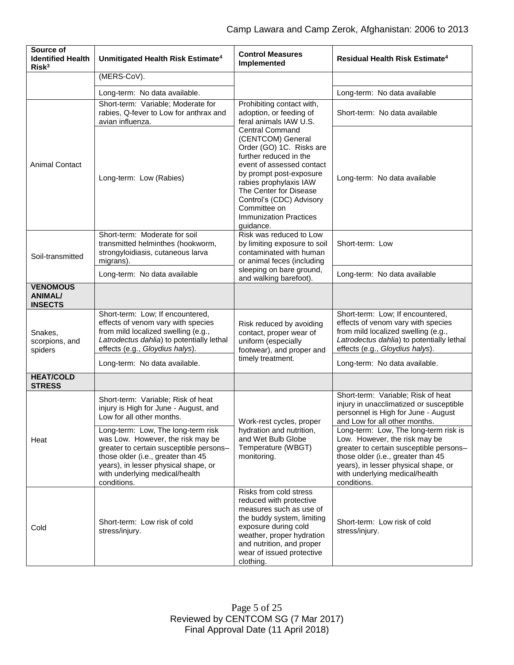| Source of<br><b>Identified Health</b><br>Risk <sup>3</sup> | Unmitigated Health Risk Estimate <sup>4</sup>                                                                                                                                                                                                     | <b>Control Measures</b><br>Implemented                                                                                                                                                                                                                                                                  | Residual Health Risk Estimate <sup>4</sup>                                                                                                                                                                                                       |
|------------------------------------------------------------|---------------------------------------------------------------------------------------------------------------------------------------------------------------------------------------------------------------------------------------------------|---------------------------------------------------------------------------------------------------------------------------------------------------------------------------------------------------------------------------------------------------------------------------------------------------------|--------------------------------------------------------------------------------------------------------------------------------------------------------------------------------------------------------------------------------------------------|
|                                                            | (MERS-CoV).                                                                                                                                                                                                                                       |                                                                                                                                                                                                                                                                                                         |                                                                                                                                                                                                                                                  |
|                                                            | Long-term: No data available.                                                                                                                                                                                                                     |                                                                                                                                                                                                                                                                                                         | Long-term: No data available                                                                                                                                                                                                                     |
|                                                            | Short-term: Variable; Moderate for<br>rabies, Q-fever to Low for anthrax and<br>avian influenza.                                                                                                                                                  | Prohibiting contact with,<br>adoption, or feeding of<br>feral animals IAW U.S.                                                                                                                                                                                                                          | Short-term: No data available                                                                                                                                                                                                                    |
| <b>Animal Contact</b>                                      | Long-term: Low (Rabies)                                                                                                                                                                                                                           | <b>Central Command</b><br>(CENTCOM) General<br>Order (GO) 1C. Risks are<br>further reduced in the<br>event of assessed contact<br>by prompt post-exposure<br>rabies prophylaxis IAW<br>The Center for Disease<br>Control's (CDC) Advisory<br>Committee on<br><b>Immunization Practices</b><br>guidance. | Long-term: No data available                                                                                                                                                                                                                     |
| Soil-transmitted                                           | Short-term: Moderate for soil<br>transmitted helminthes (hookworm,<br>strongyloidiasis, cutaneous larva<br>migrans).                                                                                                                              | Risk was reduced to Low<br>by limiting exposure to soil<br>contaminated with human<br>or animal feces (including<br>sleeping on bare ground,<br>and walking barefoot).                                                                                                                                  | Short-term: Low                                                                                                                                                                                                                                  |
|                                                            | Long-term: No data available                                                                                                                                                                                                                      |                                                                                                                                                                                                                                                                                                         | Long-term: No data available                                                                                                                                                                                                                     |
| <b>VENOMOUS</b><br><b>ANIMAL/</b><br><b>INSECTS</b>        |                                                                                                                                                                                                                                                   |                                                                                                                                                                                                                                                                                                         |                                                                                                                                                                                                                                                  |
| Snakes,<br>scorpions, and<br>spiders                       | Short-term: Low; If encountered,<br>effects of venom vary with species<br>from mild localized swelling (e.g.,<br>Latrodectus dahlia) to potentially lethal<br>effects (e.g., Gloydius halys).                                                     | Risk reduced by avoiding<br>contact, proper wear of<br>uniform (especially<br>footwear), and proper and<br>timely treatment.                                                                                                                                                                            | Short-term: Low; If encountered,<br>effects of venom vary with species<br>from mild localized swelling (e.g.,<br>Latrodectus dahlia) to potentially lethal<br>effects (e.g., Gloydius halys).                                                    |
| <b>HEAT/COLD</b>                                           | Long-term: No data available.                                                                                                                                                                                                                     |                                                                                                                                                                                                                                                                                                         | Long-term: No data available.                                                                                                                                                                                                                    |
| <b>STRESS</b>                                              |                                                                                                                                                                                                                                                   |                                                                                                                                                                                                                                                                                                         |                                                                                                                                                                                                                                                  |
| Heat                                                       | Short-term: Variable; Risk of heat<br>injury is High for June - August, and<br>Low for all other months.                                                                                                                                          | Work-rest cycles, proper<br>hydration and nutrition,<br>and Wet Bulb Globe<br>Temperature (WBGT)<br>monitoring.                                                                                                                                                                                         | Short-term: Variable; Risk of heat<br>injury in unacclimatized or susceptible<br>personnel is High for June - August<br>and Low for all other months.                                                                                            |
|                                                            | Long-term: Low, The long-term risk<br>was Low. However, the risk may be<br>greater to certain susceptible persons-<br>those older (i.e., greater than 45<br>years), in lesser physical shape, or<br>with underlying medical/health<br>conditions. |                                                                                                                                                                                                                                                                                                         | Long-term: Low, The long-term risk is<br>Low. However, the risk may be<br>greater to certain susceptible persons-<br>those older (i.e., greater than 45<br>years), in lesser physical shape, or<br>with underlying medical/health<br>conditions. |
| Cold                                                       | Short-term: Low risk of cold<br>stress/injury.                                                                                                                                                                                                    | Risks from cold stress<br>reduced with protective<br>measures such as use of<br>the buddy system, limiting<br>exposure during cold<br>weather, proper hydration<br>and nutrition, and proper<br>wear of issued protective<br>clothing.                                                                  | Short-term: Low risk of cold<br>stress/injury.                                                                                                                                                                                                   |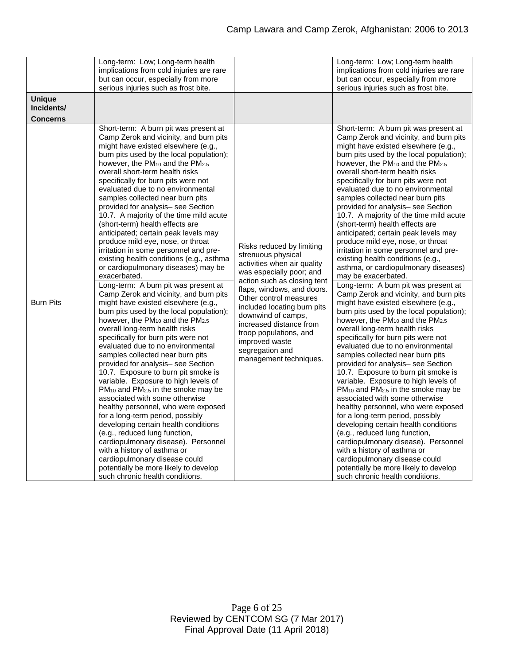|                                                | Long-term: Low; Long-term health<br>implications from cold injuries are rare<br>but can occur, especially from more<br>serious injuries such as frost bite.                                                                                                                                                                                                                                                                                                                                                                                                                                                                                                                                                                                                                                                                                                                                                                                                                                                                                                                                                                                                                                                                                                                                                                                                                                                                                                                                                                                                                                                                                     |                                                                                                                                                                                                                                                                                                                                                                            | Long-term: Low; Long-term health<br>implications from cold injuries are rare<br>but can occur, especially from more<br>serious injuries such as frost bite.                                                                                                                                                                                                                                                                                                                                                                                                                                                                                                                                                                                                                                                                                                                                                                                                                                                                                                                                                                                                                                                                                                                                                                                                                                                                                                                                                                                                                                                                                      |
|------------------------------------------------|-------------------------------------------------------------------------------------------------------------------------------------------------------------------------------------------------------------------------------------------------------------------------------------------------------------------------------------------------------------------------------------------------------------------------------------------------------------------------------------------------------------------------------------------------------------------------------------------------------------------------------------------------------------------------------------------------------------------------------------------------------------------------------------------------------------------------------------------------------------------------------------------------------------------------------------------------------------------------------------------------------------------------------------------------------------------------------------------------------------------------------------------------------------------------------------------------------------------------------------------------------------------------------------------------------------------------------------------------------------------------------------------------------------------------------------------------------------------------------------------------------------------------------------------------------------------------------------------------------------------------------------------------|----------------------------------------------------------------------------------------------------------------------------------------------------------------------------------------------------------------------------------------------------------------------------------------------------------------------------------------------------------------------------|--------------------------------------------------------------------------------------------------------------------------------------------------------------------------------------------------------------------------------------------------------------------------------------------------------------------------------------------------------------------------------------------------------------------------------------------------------------------------------------------------------------------------------------------------------------------------------------------------------------------------------------------------------------------------------------------------------------------------------------------------------------------------------------------------------------------------------------------------------------------------------------------------------------------------------------------------------------------------------------------------------------------------------------------------------------------------------------------------------------------------------------------------------------------------------------------------------------------------------------------------------------------------------------------------------------------------------------------------------------------------------------------------------------------------------------------------------------------------------------------------------------------------------------------------------------------------------------------------------------------------------------------------|
| <b>Unique</b><br>Incidents/<br><b>Concerns</b> |                                                                                                                                                                                                                                                                                                                                                                                                                                                                                                                                                                                                                                                                                                                                                                                                                                                                                                                                                                                                                                                                                                                                                                                                                                                                                                                                                                                                                                                                                                                                                                                                                                                 |                                                                                                                                                                                                                                                                                                                                                                            |                                                                                                                                                                                                                                                                                                                                                                                                                                                                                                                                                                                                                                                                                                                                                                                                                                                                                                                                                                                                                                                                                                                                                                                                                                                                                                                                                                                                                                                                                                                                                                                                                                                  |
| <b>Burn Pits</b>                               | Short-term: A burn pit was present at<br>Camp Zerok and vicinity, and burn pits<br>might have existed elsewhere (e.g.,<br>burn pits used by the local population);<br>however, the PM <sub>10</sub> and the PM <sub>2.5</sub><br>overall short-term health risks<br>specifically for burn pits were not<br>evaluated due to no environmental<br>samples collected near burn pits<br>provided for analysis- see Section<br>10.7. A majority of the time mild acute<br>(short-term) health effects are<br>anticipated; certain peak levels may<br>produce mild eye, nose, or throat<br>irritation in some personnel and pre-<br>existing health conditions (e.g., asthma<br>or cardiopulmonary diseases) may be<br>exacerbated.<br>Long-term: A burn pit was present at<br>Camp Zerok and vicinity, and burn pits<br>might have existed elsewhere (e.g.,<br>burn pits used by the local population);<br>however, the $PM_{10}$ and the $PM_{2.5}$<br>overall long-term health risks<br>specifically for burn pits were not<br>evaluated due to no environmental<br>samples collected near burn pits<br>provided for analysis- see Section<br>10.7. Exposure to burn pit smoke is<br>variable. Exposure to high levels of<br>$PM_{10}$ and $PM_{2.5}$ in the smoke may be<br>associated with some otherwise<br>healthy personnel, who were exposed<br>for a long-term period, possibly<br>developing certain health conditions<br>(e.g., reduced lung function,<br>cardiopulmonary disease). Personnel<br>with a history of asthma or<br>cardiopulmonary disease could<br>potentially be more likely to develop<br>such chronic health conditions. | Risks reduced by limiting<br>strenuous physical<br>activities when air quality<br>was especially poor; and<br>action such as closing tent<br>flaps, windows, and doors.<br>Other control measures<br>included locating burn pits<br>downwind of camps,<br>increased distance from<br>troop populations, and<br>improved waste<br>segregation and<br>management techniques. | Short-term: A burn pit was present at<br>Camp Zerok and vicinity, and burn pits<br>might have existed elsewhere (e.g.,<br>burn pits used by the local population);<br>however, the PM <sub>10</sub> and the PM <sub>2.5</sub><br>overall short-term health risks<br>specifically for burn pits were not<br>evaluated due to no environmental<br>samples collected near burn pits<br>provided for analysis- see Section<br>10.7. A majority of the time mild acute<br>(short-term) health effects are<br>anticipated; certain peak levels may<br>produce mild eye, nose, or throat<br>irritation in some personnel and pre-<br>existing health conditions (e.g.,<br>asthma, or cardiopulmonary diseases)<br>may be exacerbated.<br>Long-term: A burn pit was present at<br>Camp Zerok and vicinity, and burn pits<br>might have existed elsewhere (e.g.,<br>burn pits used by the local population);<br>however, the $PM_{10}$ and the $PM_{2.5}$<br>overall long-term health risks<br>specifically for burn pits were not<br>evaluated due to no environmental<br>samples collected near burn pits<br>provided for analysis- see Section<br>10.7. Exposure to burn pit smoke is<br>variable. Exposure to high levels of<br>$PM_{10}$ and $PM_{2.5}$ in the smoke may be<br>associated with some otherwise<br>healthy personnel, who were exposed<br>for a long-term period, possibly<br>developing certain health conditions<br>(e.g., reduced lung function,<br>cardiopulmonary disease). Personnel<br>with a history of asthma or<br>cardiopulmonary disease could<br>potentially be more likely to develop<br>such chronic health conditions. |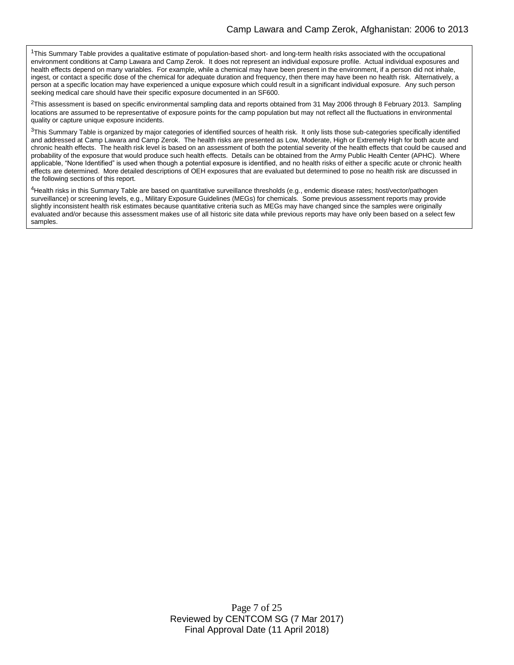<sup>1</sup>This Summary Table provides a qualitative estimate of population-based short- and long-term health risks associated with the occupational environment conditions at Camp Lawara and Camp Zerok. It does not represent an individual exposure profile. Actual individual exposures and health effects depend on many variables. For example, while a chemical may have been present in the environment, if a person did not inhale, ingest, or contact a specific dose of the chemical for adequate duration and frequency, then there may have been no health risk. Alternatively, a person at a specific location may have experienced a unique exposure which could result in a significant individual exposure. Any such person seeking medical care should have their specific exposure documented in an SF600.

 ${}^{2}$ This assessment is based on specific environmental sampling data and reports obtained from 31 May 2006 through 8 February 2013. Sampling locations are assumed to be representative of exposure points for the camp population but may not reflect all the fluctuations in environmental quality or capture unique exposure incidents.

<sup>3</sup>This Summary Table is organized by major categories of identified sources of health risk. It only lists those sub-categories specifically identified and addressed at Camp Lawara and Camp Zerok. The health risks are presented as Low, Moderate, High or Extremely High for both acute and chronic health effects. The health risk level is based on an assessment of both the potential severity of the health effects that could be caused and probability of the exposure that would produce such health effects. Details can be obtained from the Army Public Health Center (APHC). Where applicable, "None Identified" is used when though a potential exposure is identified, and no health risks of either a specific acute or chronic health effects are determined. More detailed descriptions of OEH exposures that are evaluated but determined to pose no health risk are discussed in the following sections of this report.

<sup>4</sup>Health risks in this Summary Table are based on quantitative surveillance thresholds (e.g., endemic disease rates; host/vector/pathogen surveillance) or screening levels, e.g., Military Exposure Guidelines (MEGs) for chemicals*.* Some previous assessment reports may provide slightly inconsistent health risk estimates because quantitative criteria such as MEGs may have changed since the samples were originally evaluated and/or because this assessment makes use of all historic site data while previous reports may have only been based on a select few samples.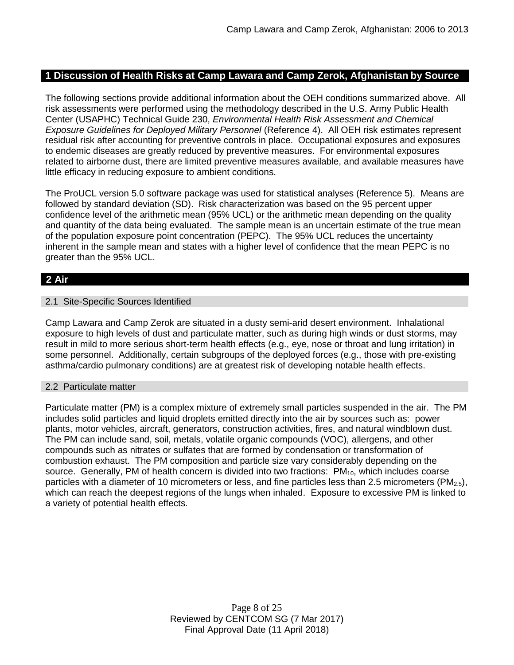# **1 Discussion of Health Risks at Camp Lawara and Camp Zerok, Afghanistan by Source**

The following sections provide additional information about the OEH conditions summarized above. All risk assessments were performed using the methodology described in the U.S. Army Public Health Center (USAPHC) Technical Guide 230, *Environmental Health Risk Assessment and Chemical Exposure Guidelines for Deployed Military Personnel* (Reference 4). All OEH risk estimates represent residual risk after accounting for preventive controls in place. Occupational exposures and exposures to endemic diseases are greatly reduced by preventive measures. For environmental exposures related to airborne dust, there are limited preventive measures available, and available measures have little efficacy in reducing exposure to ambient conditions.

The ProUCL version 5.0 software package was used for statistical analyses (Reference 5). Means are followed by standard deviation (SD). Risk characterization was based on the 95 percent upper confidence level of the arithmetic mean (95% UCL) or the arithmetic mean depending on the quality and quantity of the data being evaluated. The sample mean is an uncertain estimate of the true mean of the population exposure point concentration (PEPC). The 95% UCL reduces the uncertainty inherent in the sample mean and states with a higher level of confidence that the mean PEPC is no greater than the 95% UCL.

# **2 Air**

### 2.1 Site-Specific Sources Identified

Camp Lawara and Camp Zerok are situated in a dusty semi-arid desert environment. Inhalational exposure to high levels of dust and particulate matter, such as during high winds or dust storms, may result in mild to more serious short-term health effects (e.g., eye, nose or throat and lung irritation) in some personnel. Additionally, certain subgroups of the deployed forces (e.g., those with pre-existing asthma/cardio pulmonary conditions) are at greatest risk of developing notable health effects.

### 2.2 Particulate matter

Particulate matter (PM) is a complex mixture of extremely small particles suspended in the air. The PM includes solid particles and liquid droplets emitted directly into the air by sources such as: power plants, motor vehicles, aircraft, generators, construction activities, fires, and natural windblown dust. The PM can include sand, soil, metals, volatile organic compounds (VOC), allergens, and other compounds such as nitrates or sulfates that are formed by condensation or transformation of combustion exhaust. The PM composition and particle size vary considerably depending on the source. Generally, PM of health concern is divided into two fractions: PM<sub>10</sub>, which includes coarse particles with a diameter of 10 micrometers or less, and fine particles less than 2.5 micrometers ( $PM_{2.5}$ ), which can reach the deepest regions of the lungs when inhaled. Exposure to excessive PM is linked to a variety of potential health effects.

> Page 8 of 25 Reviewed by CENTCOM SG (7 Mar 2017) Final Approval Date (11 April 2018)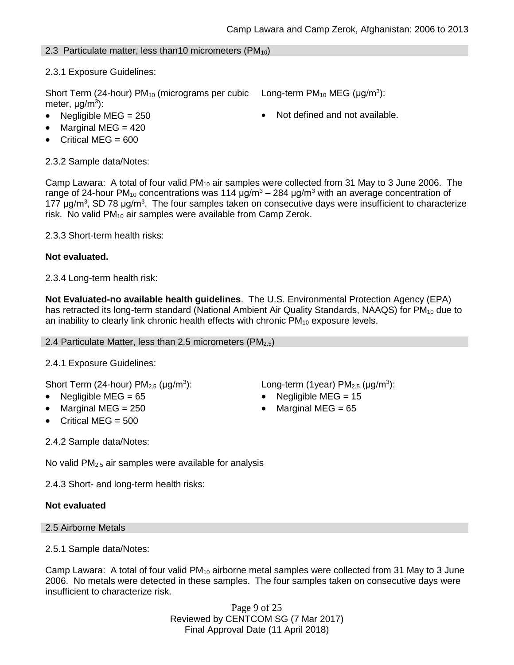# 2.3 Particulate matter, less than 10 micrometers ( $PM_{10}$ )

2.3.1 Exposure Guidelines:

Short Term (24-hour)  $PM_{10}$  (micrograms per cubic meter, μg/m<sup>3</sup>):

- 
- $\bullet$  Marginal MEG = 420
- Critical MEG =  $600$

2.3.2 Sample data/Notes:

Camp Lawara: A total of four valid  $PM_{10}$  air samples were collected from 31 May to 3 June 2006. The range of 24-hour PM<sub>10</sub> concentrations was 114  $\mu$ g/m<sup>3</sup> – 284  $\mu$ g/m<sup>3</sup> with an average concentration of 177 μg/m<sup>3</sup>, SD 78 μg/m<sup>3</sup>. The four samples taken on consecutive days were insufficient to characterize risk. No valid  $PM_{10}$  air samples were available from Camp Zerok.

2.3.3 Short-term health risks:

### **Not evaluated.**

2.3.4 Long-term health risk:

**Not Evaluated-no available health guidelines**. The U.S. Environmental Protection Agency (EPA) has retracted its long-term standard (National Ambient Air Quality Standards, NAAQS) for PM<sub>10</sub> due to an inability to clearly link chronic health effects with chronic  $PM_{10}$  exposure levels.

2.4 Particulate Matter, less than 2.5 micrometers ( $PM<sub>2.5</sub>$ )

2.4.1 Exposure Guidelines:

Short Term (24-hour)  $PM<sub>2.5</sub>$  ( $\mu$ g/m<sup>3</sup>):

- 
- 
- Critical MEG = 500

2.4.2 Sample data/Notes:

No valid  $PM<sub>2.5</sub>$  air samples were available for analysis

2.4.3 Short- and long-term health risks:

# **Not evaluated**

2.5 Airborne Metals

2.5.1 Sample data/Notes:

Camp Lawara: A total of four valid PM<sub>10</sub> airborne metal samples were collected from 31 May to 3 June 2006. No metals were detected in these samples. The four samples taken on consecutive days were insufficient to characterize risk.

> Page 9 of 25 Reviewed by CENTCOM SG (7 Mar 2017) Final Approval Date (11 April 2018)

): Long-term (1year)  $PM_{2.5}$  ( $\mu$ g/m<sup>3</sup>):

- Negligible MEG = 65 Negligible MEG = 15
	- Marginal MEG =  $250$   $\bullet$  Marginal MEG =  $65$

Long-term  $PM_{10}$  MEG ( $\mu$ g/m<sup>3</sup>):

Negligible  $MEG = 250$  **Not defined and not available.**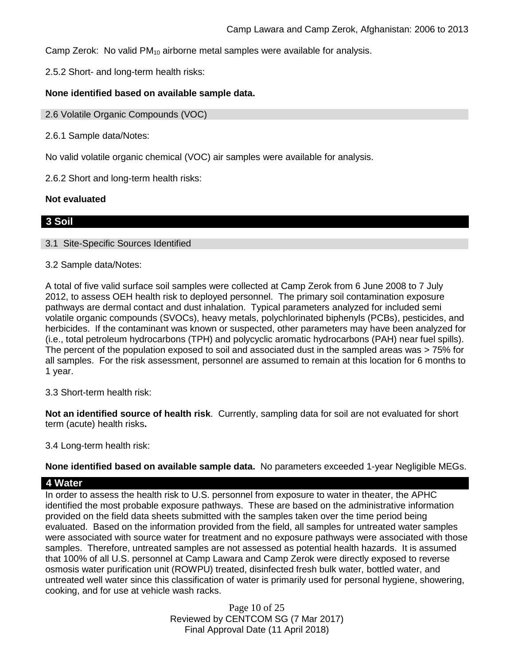Camp Zerok: No valid  $PM_{10}$  airborne metal samples were available for analysis.

2.5.2 Short- and long-term health risks:

### **None identified based on available sample data.**

#### 2.6 Volatile Organic Compounds (VOC)

2.6.1 Sample data/Notes:

No valid volatile organic chemical (VOC) air samples were available for analysis.

2.6.2 Short and long-term health risks:

#### **Not evaluated**

### **3 Soil**

#### 3.1 Site-Specific Sources Identified

#### 3.2 Sample data/Notes:

A total of five valid surface soil samples were collected at Camp Zerok from 6 June 2008 to 7 July 2012, to assess OEH health risk to deployed personnel. The primary soil contamination exposure pathways are dermal contact and dust inhalation. Typical parameters analyzed for included semi volatile organic compounds (SVOCs), heavy metals, polychlorinated biphenyls (PCBs), pesticides, and herbicides. If the contaminant was known or suspected, other parameters may have been analyzed for (i.e., total petroleum hydrocarbons (TPH) and polycyclic aromatic hydrocarbons (PAH) near fuel spills). The percent of the population exposed to soil and associated dust in the sampled areas was > 75% for all samples. For the risk assessment, personnel are assumed to remain at this location for 6 months to 1 year.

3.3 Short-term health risk:

**Not an identified source of health risk**. Currently, sampling data for soil are not evaluated for short term (acute) health risks**.**

3.4 Long-term health risk:

**None identified based on available sample data.** No parameters exceeded 1-year Negligible MEGs.

### **4 Water**

In order to assess the health risk to U.S. personnel from exposure to water in theater, the APHC identified the most probable exposure pathways. These are based on the administrative information provided on the field data sheets submitted with the samples taken over the time period being evaluated. Based on the information provided from the field, all samples for untreated water samples were associated with source water for treatment and no exposure pathways were associated with those samples. Therefore, untreated samples are not assessed as potential health hazards. It is assumed that 100% of all U.S. personnel at Camp Lawara and Camp Zerok were directly exposed to reverse osmosis water purification unit (ROWPU) treated, disinfected fresh bulk water, bottled water, and untreated well water since this classification of water is primarily used for personal hygiene, showering, cooking, and for use at vehicle wash racks.

> Page 10 of 25 Reviewed by CENTCOM SG (7 Mar 2017) Final Approval Date (11 April 2018)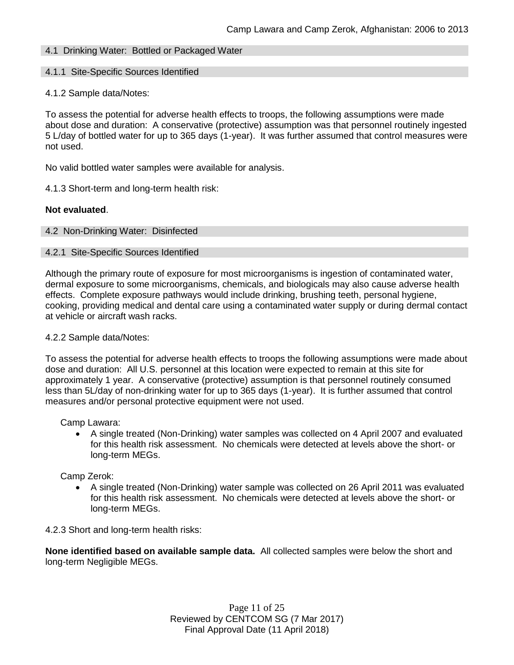# 4.1 Drinking Water: Bottled or Packaged Water

#### 4.1.1 Site-Specific Sources Identified

#### 4.1.2 Sample data/Notes:

To assess the potential for adverse health effects to troops, the following assumptions were made about dose and duration: A conservative (protective) assumption was that personnel routinely ingested 5 L/day of bottled water for up to 365 days (1-year). It was further assumed that control measures were not used.

No valid bottled water samples were available for analysis.

4.1.3 Short-term and long-term health risk:

#### **Not evaluated**.

#### 4.2 Non-Drinking Water: Disinfected

#### 4.2.1 Site-Specific Sources Identified

Although the primary route of exposure for most microorganisms is ingestion of contaminated water, dermal exposure to some microorganisms, chemicals, and biologicals may also cause adverse health effects. Complete exposure pathways would include drinking, brushing teeth, personal hygiene, cooking, providing medical and dental care using a contaminated water supply or during dermal contact at vehicle or aircraft wash racks.

#### 4.2.2 Sample data/Notes:

To assess the potential for adverse health effects to troops the following assumptions were made about dose and duration: All U.S. personnel at this location were expected to remain at this site for approximately 1 year. A conservative (protective) assumption is that personnel routinely consumed less than 5L/day of non-drinking water for up to 365 days (1-year). It is further assumed that control measures and/or personal protective equipment were not used.

Camp Lawara:

 A single treated (Non-Drinking) water samples was collected on 4 April 2007 and evaluated for this health risk assessment. No chemicals were detected at levels above the short- or long-term MEGs.

### Camp Zerok:

 A single treated (Non-Drinking) water sample was collected on 26 April 2011 was evaluated for this health risk assessment. No chemicals were detected at levels above the short- or long-term MEGs.

4.2.3 Short and long-term health risks:

**None identified based on available sample data.** All collected samples were below the short and long-term Negligible MEGs.

> Page 11 of 25 Reviewed by CENTCOM SG (7 Mar 2017) Final Approval Date (11 April 2018)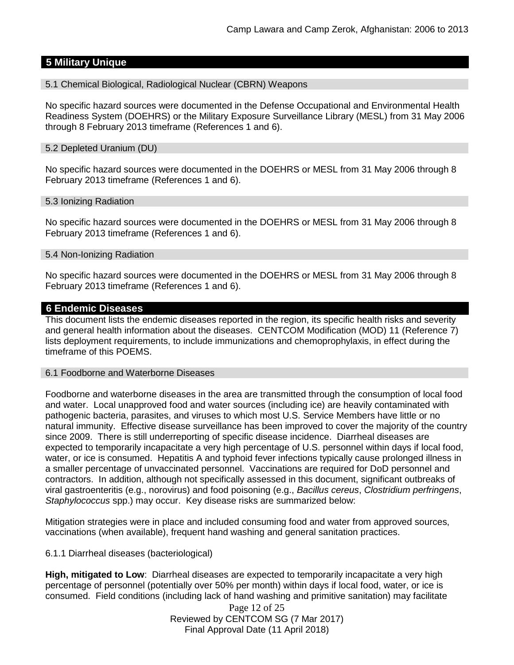# **5 Military Unique**

5.1 Chemical Biological, Radiological Nuclear (CBRN) Weapons

No specific hazard sources were documented in the Defense Occupational and Environmental Health Readiness System (DOEHRS) or the Military Exposure Surveillance Library (MESL) from 31 May 2006 through 8 February 2013 timeframe (References 1 and 6).

### 5.2 Depleted Uranium (DU)

No specific hazard sources were documented in the DOEHRS or MESL from 31 May 2006 through 8 February 2013 timeframe (References 1 and 6).

### 5.3 Ionizing Radiation

No specific hazard sources were documented in the DOEHRS or MESL from 31 May 2006 through 8 February 2013 timeframe (References 1 and 6).

### 5.4 Non-Ionizing Radiation

No specific hazard sources were documented in the DOEHRS or MESL from 31 May 2006 through 8 February 2013 timeframe (References 1 and 6).

### **6 Endemic Diseases**

This document lists the endemic diseases reported in the region, its specific health risks and severity and general health information about the diseases. CENTCOM Modification (MOD) 11 (Reference 7) lists deployment requirements, to include immunizations and chemoprophylaxis, in effect during the timeframe of this POEMS.

### 6.1 Foodborne and Waterborne Diseases

Foodborne and waterborne diseases in the area are transmitted through the consumption of local food and water. Local unapproved food and water sources (including ice) are heavily contaminated with pathogenic bacteria, parasites, and viruses to which most U.S. Service Members have little or no natural immunity. Effective disease surveillance has been improved to cover the majority of the country since 2009. There is still underreporting of specific disease incidence. Diarrheal diseases are expected to temporarily incapacitate a very high percentage of U.S. personnel within days if local food, water, or ice is consumed. Hepatitis A and typhoid fever infections typically cause prolonged illness in a smaller percentage of unvaccinated personnel. Vaccinations are required for DoD personnel and contractors. In addition, although not specifically assessed in this document, significant outbreaks of viral gastroenteritis (e.g., norovirus) and food poisoning (e.g., *Bacillus cereus*, *Clostridium perfringens*, *Staphylococcus* spp.) may occur. Key disease risks are summarized below:

Mitigation strategies were in place and included consuming food and water from approved sources, vaccinations (when available), frequent hand washing and general sanitation practices.

### 6.1.1 Diarrheal diseases (bacteriological)

**High, mitigated to Low**: Diarrheal diseases are expected to temporarily incapacitate a very high percentage of personnel (potentially over 50% per month) within days if local food, water, or ice is consumed. Field conditions (including lack of hand washing and primitive sanitation) may facilitate

> Page 12 of 25 Reviewed by CENTCOM SG (7 Mar 2017) Final Approval Date (11 April 2018)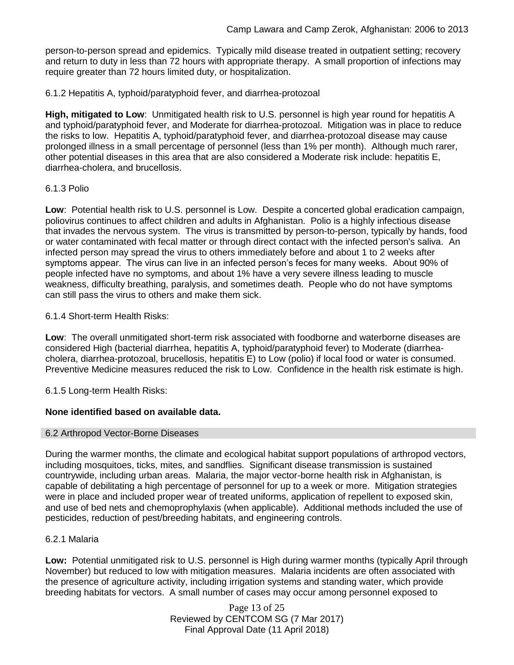person-to-person spread and epidemics. Typically mild disease treated in outpatient setting; recovery and return to duty in less than 72 hours with appropriate therapy. A small proportion of infections may require greater than 72 hours limited duty, or hospitalization.

6.1.2 Hepatitis A, typhoid/paratyphoid fever, and diarrhea-protozoal

**High, mitigated to Low**: Unmitigated health risk to U.S. personnel is high year round for hepatitis A and typhoid/paratyphoid fever, and Moderate for diarrhea-protozoal. Mitigation was in place to reduce the risks to low. Hepatitis A, typhoid/paratyphoid fever, and diarrhea-protozoal disease may cause prolonged illness in a small percentage of personnel (less than 1% per month). Although much rarer, other potential diseases in this area that are also considered a Moderate risk include: hepatitis E, diarrhea-cholera, and brucellosis.

### 6.1.3 Polio

**Low**: Potential health risk to U.S. personnel is Low. Despite a concerted global eradication campaign, poliovirus continues to affect children and adults in Afghanistan. Polio is a highly infectious disease that invades the nervous system. The virus is transmitted by person-to-person, typically by hands, food or water contaminated with fecal matter or through direct contact with the infected person's saliva. An infected person may spread the virus to others immediately before and about 1 to 2 weeks after symptoms appear. The virus can live in an infected person's feces for many weeks. About 90% of people infected have no symptoms, and about 1% have a very severe illness leading to muscle weakness, difficulty breathing, paralysis, and sometimes death. People who do not have symptoms can still pass the virus to others and make them sick.

### 6.1.4 Short-term Health Risks:

**Low**: The overall unmitigated short-term risk associated with foodborne and waterborne diseases are considered High (bacterial diarrhea, hepatitis A, typhoid/paratyphoid fever) to Moderate (diarrheacholera, diarrhea-protozoal, brucellosis, hepatitis E) to Low (polio) if local food or water is consumed. Preventive Medicine measures reduced the risk to Low. Confidence in the health risk estimate is high.

6.1.5 Long-term Health Risks:

# **None identified based on available data.**

### 6.2 Arthropod Vector-Borne Diseases

During the warmer months, the climate and ecological habitat support populations of arthropod vectors, including mosquitoes, ticks, mites, and sandflies. Significant disease transmission is sustained countrywide, including urban areas. Malaria, the major vector-borne health risk in Afghanistan, is capable of debilitating a high percentage of personnel for up to a week or more. Mitigation strategies were in place and included proper wear of treated uniforms, application of repellent to exposed skin, and use of bed nets and chemoprophylaxis (when applicable). Additional methods included the use of pesticides, reduction of pest/breeding habitats, and engineering controls.

### 6.2.1 Malaria

**Low:** Potential unmitigated risk to U.S. personnel is High during warmer months (typically April through November) but reduced to low with mitigation measures. Malaria incidents are often associated with the presence of agriculture activity, including irrigation systems and standing water, which provide breeding habitats for vectors. A small number of cases may occur among personnel exposed to

> Page 13 of 25 Reviewed by CENTCOM SG (7 Mar 2017) Final Approval Date (11 April 2018)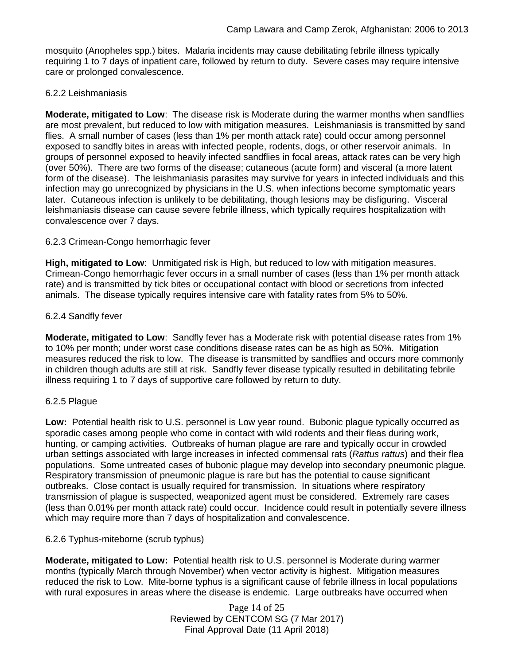mosquito (Anopheles spp.) bites. Malaria incidents may cause debilitating febrile illness typically requiring 1 to 7 days of inpatient care, followed by return to duty. Severe cases may require intensive care or prolonged convalescence.

# 6.2.2 Leishmaniasis

**Moderate, mitigated to Low**: The disease risk is Moderate during the warmer months when sandflies are most prevalent, but reduced to low with mitigation measures. Leishmaniasis is transmitted by sand flies. A small number of cases (less than 1% per month attack rate) could occur among personnel exposed to sandfly bites in areas with infected people, rodents, dogs, or other reservoir animals. In groups of personnel exposed to heavily infected sandflies in focal areas, attack rates can be very high (over 50%). There are two forms of the disease; cutaneous (acute form) and visceral (a more latent form of the disease). The leishmaniasis parasites may survive for years in infected individuals and this infection may go unrecognized by physicians in the U.S. when infections become symptomatic years later. Cutaneous infection is unlikely to be debilitating, though lesions may be disfiguring. Visceral leishmaniasis disease can cause severe febrile illness, which typically requires hospitalization with convalescence over 7 days.

### 6.2.3 Crimean-Congo hemorrhagic fever

**High, mitigated to Low**: Unmitigated risk is High, but reduced to low with mitigation measures. Crimean-Congo hemorrhagic fever occurs in a small number of cases (less than 1% per month attack rate) and is transmitted by tick bites or occupational contact with blood or secretions from infected animals. The disease typically requires intensive care with fatality rates from 5% to 50%.

### 6.2.4 Sandfly fever

**Moderate, mitigated to Low**: Sandfly fever has a Moderate risk with potential disease rates from 1% to 10% per month; under worst case conditions disease rates can be as high as 50%. Mitigation measures reduced the risk to low. The disease is transmitted by sandflies and occurs more commonly in children though adults are still at risk. Sandfly fever disease typically resulted in debilitating febrile illness requiring 1 to 7 days of supportive care followed by return to duty.

### 6.2.5 Plague

**Low:** Potential health risk to U.S. personnel is Low year round. Bubonic plague typically occurred as sporadic cases among people who come in contact with wild rodents and their fleas during work, hunting, or camping activities. Outbreaks of human plague are rare and typically occur in crowded urban settings associated with large increases in infected commensal rats (*Rattus rattus*) and their flea populations. Some untreated cases of bubonic plague may develop into secondary pneumonic plague. Respiratory transmission of pneumonic plague is rare but has the potential to cause significant outbreaks. Close contact is usually required for transmission. In situations where respiratory transmission of plague is suspected, weaponized agent must be considered. Extremely rare cases (less than 0.01% per month attack rate) could occur. Incidence could result in potentially severe illness which may require more than 7 days of hospitalization and convalescence.

# 6.2.6 Typhus-miteborne (scrub typhus)

**Moderate, mitigated to Low:** Potential health risk to U.S. personnel is Moderate during warmer months (typically March through November) when vector activity is highest. Mitigation measures reduced the risk to Low. Mite-borne typhus is a significant cause of febrile illness in local populations with rural exposures in areas where the disease is endemic. Large outbreaks have occurred when

> Page 14 of 25 Reviewed by CENTCOM SG (7 Mar 2017) Final Approval Date (11 April 2018)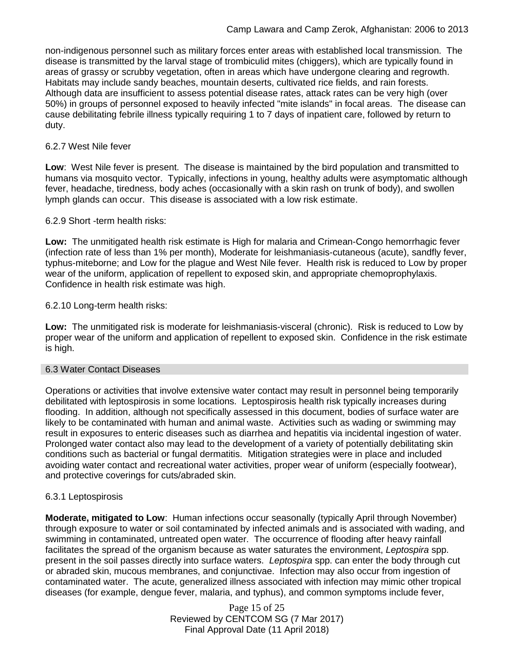non-indigenous personnel such as military forces enter areas with established local transmission. The disease is transmitted by the larval stage of trombiculid mites (chiggers), which are typically found in areas of grassy or scrubby vegetation, often in areas which have undergone clearing and regrowth. Habitats may include sandy beaches, mountain deserts, cultivated rice fields, and rain forests. Although data are insufficient to assess potential disease rates, attack rates can be very high (over 50%) in groups of personnel exposed to heavily infected "mite islands" in focal areas. The disease can cause debilitating febrile illness typically requiring 1 to 7 days of inpatient care, followed by return to duty.

### 6.2.7 West Nile fever

**Low**: West Nile fever is present. The disease is maintained by the bird population and transmitted to humans via mosquito vector. Typically, infections in young, healthy adults were asymptomatic although fever, headache, tiredness, body aches (occasionally with a skin rash on trunk of body), and swollen lymph glands can occur. This disease is associated with a low risk estimate.

### 6.2.9 Short -term health risks:

**Low:** The unmitigated health risk estimate is High for malaria and Crimean-Congo hemorrhagic fever (infection rate of less than 1% per month), Moderate for leishmaniasis-cutaneous (acute), sandfly fever, typhus-miteborne; and Low for the plague and West Nile fever. Health risk is reduced to Low by proper wear of the uniform, application of repellent to exposed skin, and appropriate chemoprophylaxis. Confidence in health risk estimate was high.

### 6.2.10 Long-term health risks:

**Low:** The unmitigated risk is moderate for leishmaniasis-visceral (chronic). Risk is reduced to Low by proper wear of the uniform and application of repellent to exposed skin. Confidence in the risk estimate is high.

### 6.3 Water Contact Diseases

Operations or activities that involve extensive water contact may result in personnel being temporarily debilitated with leptospirosis in some locations. Leptospirosis health risk typically increases during flooding. In addition, although not specifically assessed in this document, bodies of surface water are likely to be contaminated with human and animal waste. Activities such as wading or swimming may result in exposures to enteric diseases such as diarrhea and hepatitis via incidental ingestion of water. Prolonged water contact also may lead to the development of a variety of potentially debilitating skin conditions such as bacterial or fungal dermatitis. Mitigation strategies were in place and included avoiding water contact and recreational water activities, proper wear of uniform (especially footwear), and protective coverings for cuts/abraded skin.

# 6.3.1 Leptospirosis

**Moderate, mitigated to Low**: Human infections occur seasonally (typically April through November) through exposure to water or soil contaminated by infected animals and is associated with wading, and swimming in contaminated, untreated open water. The occurrence of flooding after heavy rainfall facilitates the spread of the organism because as water saturates the environment, *Leptospira* spp. present in the soil passes directly into surface waters. *Leptospira* spp. can enter the body through cut or abraded skin, mucous membranes, and conjunctivae. Infection may also occur from ingestion of contaminated water. The acute, generalized illness associated with infection may mimic other tropical diseases (for example, dengue fever, malaria, and typhus), and common symptoms include fever,

> Page 15 of 25 Reviewed by CENTCOM SG (7 Mar 2017) Final Approval Date (11 April 2018)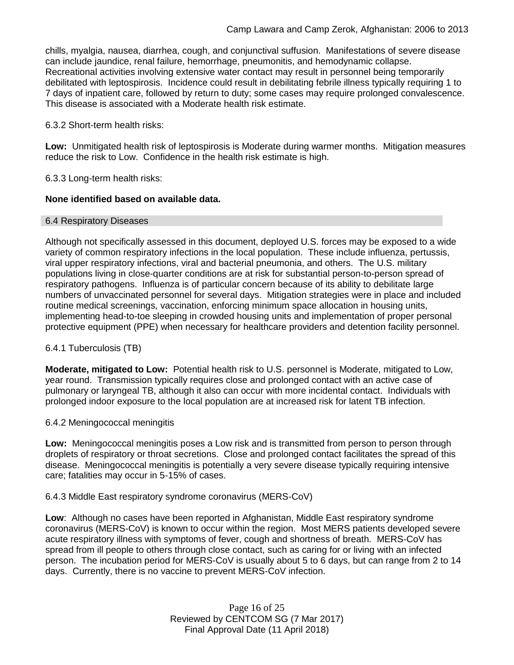chills, myalgia, nausea, diarrhea, cough, and conjunctival suffusion. Manifestations of severe disease can include jaundice, renal failure, hemorrhage, pneumonitis, and hemodynamic collapse. Recreational activities involving extensive water contact may result in personnel being temporarily debilitated with leptospirosis. Incidence could result in debilitating febrile illness typically requiring 1 to 7 days of inpatient care, followed by return to duty; some cases may require prolonged convalescence. This disease is associated with a Moderate health risk estimate.

6.3.2 Short-term health risks:

**Low:** Unmitigated health risk of leptospirosis is Moderate during warmer months. Mitigation measures reduce the risk to Low. Confidence in the health risk estimate is high.

6.3.3 Long-term health risks:

### **None identified based on available data.**

### 6.4 Respiratory Diseases

Although not specifically assessed in this document, deployed U.S. forces may be exposed to a wide variety of common respiratory infections in the local population. These include influenza, pertussis, viral upper respiratory infections, viral and bacterial pneumonia, and others. The U.S. military populations living in close-quarter conditions are at risk for substantial person-to-person spread of respiratory pathogens. Influenza is of particular concern because of its ability to debilitate large numbers of unvaccinated personnel for several days. Mitigation strategies were in place and included routine medical screenings, vaccination, enforcing minimum space allocation in housing units, implementing head-to-toe sleeping in crowded housing units and implementation of proper personal protective equipment (PPE) when necessary for healthcare providers and detention facility personnel.

# 6.4.1 Tuberculosis (TB)

**Moderate, mitigated to Low:** Potential health risk to U.S. personnel is Moderate, mitigated to Low, year round. Transmission typically requires close and prolonged contact with an active case of pulmonary or laryngeal TB, although it also can occur with more incidental contact. Individuals with prolonged indoor exposure to the local population are at increased risk for latent TB infection.

### 6.4.2 Meningococcal meningitis

**Low:** Meningococcal meningitis poses a Low risk and is transmitted from person to person through droplets of respiratory or throat secretions. Close and prolonged contact facilitates the spread of this disease. Meningococcal meningitis is potentially a very severe disease typically requiring intensive care; fatalities may occur in 5-15% of cases.

### 6.4.3 Middle East respiratory syndrome coronavirus (MERS-CoV)

**Low**: Although no cases have been reported in Afghanistan, Middle East respiratory syndrome coronavirus (MERS-CoV) is known to occur within the region. Most MERS patients developed severe acute respiratory illness with symptoms of fever, cough and shortness of breath. MERS-CoV has spread from ill people to others through close contact, such as caring for or living with an infected person. The incubation period for MERS-CoV is usually about 5 to 6 days, but can range from 2 to 14 days. Currently, there is no vaccine to prevent MERS-CoV infection.

> Page 16 of 25 Reviewed by CENTCOM SG (7 Mar 2017) Final Approval Date (11 April 2018)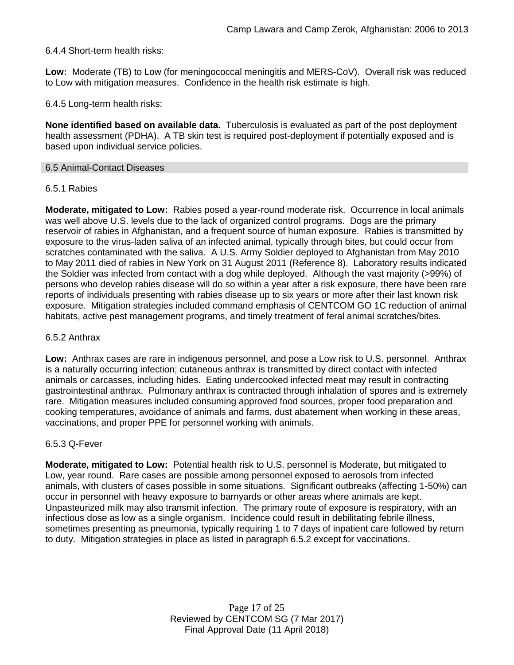# 6.4.4 Short-term health risks:

**Low:** Moderate (TB) to Low (for meningococcal meningitis and MERS-CoV). Overall risk was reduced to Low with mitigation measures. Confidence in the health risk estimate is high.

6.4.5 Long-term health risks:

**None identified based on available data.** Tuberculosis is evaluated as part of the post deployment health assessment (PDHA). A TB skin test is required post-deployment if potentially exposed and is based upon individual service policies.

#### 6.5 Animal-Contact Diseases

### 6.5.1 Rabies

**Moderate, mitigated to Low:** Rabies posed a year-round moderate risk. Occurrence in local animals was well above U.S. levels due to the lack of organized control programs. Dogs are the primary reservoir of rabies in Afghanistan, and a frequent source of human exposure. Rabies is transmitted by exposure to the virus-laden saliva of an infected animal, typically through bites, but could occur from scratches contaminated with the saliva. A U.S. Army Soldier deployed to Afghanistan from May 2010 to May 2011 died of rabies in New York on 31 August 2011 (Reference 8). Laboratory results indicated the Soldier was infected from contact with a dog while deployed. Although the vast majority (>99%) of persons who develop rabies disease will do so within a year after a risk exposure, there have been rare reports of individuals presenting with rabies disease up to six years or more after their last known risk exposure. Mitigation strategies included command emphasis of CENTCOM GO 1C reduction of animal habitats, active pest management programs, and timely treatment of feral animal scratches/bites.

### 6.5.2 Anthrax

**Low:** Anthrax cases are rare in indigenous personnel, and pose a Low risk to U.S. personnel. Anthrax is a naturally occurring infection; cutaneous anthrax is transmitted by direct contact with infected animals or carcasses, including hides. Eating undercooked infected meat may result in contracting gastrointestinal anthrax. Pulmonary anthrax is contracted through inhalation of spores and is extremely rare. Mitigation measures included consuming approved food sources, proper food preparation and cooking temperatures, avoidance of animals and farms, dust abatement when working in these areas, vaccinations, and proper PPE for personnel working with animals.

### 6.5.3 Q-Fever

**Moderate, mitigated to Low:** Potential health risk to U.S. personnel is Moderate, but mitigated to Low, year round. Rare cases are possible among personnel exposed to aerosols from infected animals, with clusters of cases possible in some situations. Significant outbreaks (affecting 1-50%) can occur in personnel with heavy exposure to barnyards or other areas where animals are kept. Unpasteurized milk may also transmit infection. The primary route of exposure is respiratory, with an infectious dose as low as a single organism. Incidence could result in debilitating febrile illness, sometimes presenting as pneumonia, typically requiring 1 to 7 days of inpatient care followed by return to duty. Mitigation strategies in place as listed in paragraph 6.5.2 except for vaccinations.

> Page 17 of 25 Reviewed by CENTCOM SG (7 Mar 2017) Final Approval Date (11 April 2018)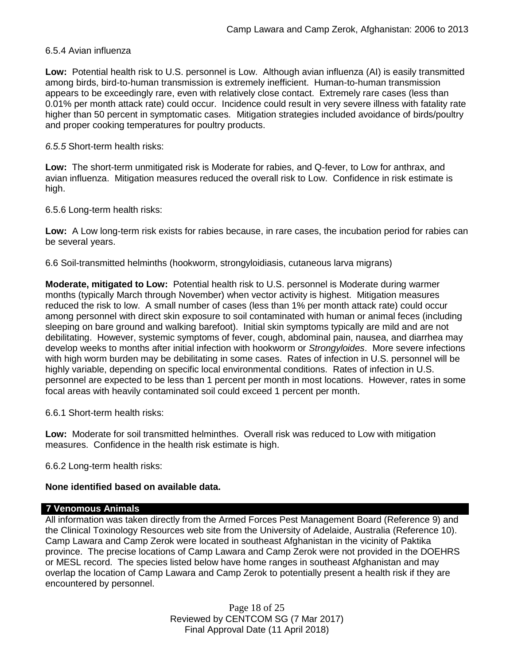### 6.5.4 Avian influenza

**Low:** Potential health risk to U.S. personnel is Low. Although avian influenza (AI) is easily transmitted among birds, bird-to-human transmission is extremely inefficient. Human-to-human transmission appears to be exceedingly rare, even with relatively close contact. Extremely rare cases (less than 0.01% per month attack rate) could occur. Incidence could result in very severe illness with fatality rate higher than 50 percent in symptomatic cases. Mitigation strategies included avoidance of birds/poultry and proper cooking temperatures for poultry products.

*6.5.5* Short-term health risks:

**Low:** The short-term unmitigated risk is Moderate for rabies, and Q-fever, to Low for anthrax, and avian influenza. Mitigation measures reduced the overall risk to Low.Confidence in risk estimate is high.

6.5.6 Long-term health risks:

**Low:** A Low long-term risk exists for rabies because, in rare cases, the incubation period for rabies can be several years.

6.6 Soil-transmitted helminths (hookworm, strongyloidiasis, cutaneous larva migrans)

**Moderate, mitigated to Low:** Potential health risk to U.S. personnel is Moderate during warmer months (typically March through November) when vector activity is highest. Mitigation measures reduced the risk to low. A small number of cases (less than 1% per month attack rate) could occur among personnel with direct skin exposure to soil contaminated with human or animal feces (including sleeping on bare ground and walking barefoot). Initial skin symptoms typically are mild and are not debilitating. However, systemic symptoms of fever, cough, abdominal pain, nausea, and diarrhea may develop weeks to months after initial infection with hookworm or *Strongyloides*. More severe infections with high worm burden may be debilitating in some cases. Rates of infection in U.S. personnel will be highly variable, depending on specific local environmental conditions. Rates of infection in U.S. personnel are expected to be less than 1 percent per month in most locations. However, rates in some focal areas with heavily contaminated soil could exceed 1 percent per month.

6.6.1 Short-term health risks:

**Low:** Moderate for soil transmitted helminthes. Overall risk was reduced to Low with mitigation measures. Confidence in the health risk estimate is high.

6.6.2 Long-term health risks:

# **None identified based on available data.**

### **7 Venomous Animals**

All information was taken directly from the Armed Forces Pest Management Board (Reference 9) and the Clinical Toxinology Resources web site from the University of Adelaide, Australia (Reference 10). Camp Lawara and Camp Zerok were located in southeast Afghanistan in the vicinity of Paktika province. The precise locations of Camp Lawara and Camp Zerok were not provided in the DOEHRS or MESL record. The species listed below have home ranges in southeast Afghanistan and may overlap the location of Camp Lawara and Camp Zerok to potentially present a health risk if they are encountered by personnel.

> Page 18 of 25 Reviewed by CENTCOM SG (7 Mar 2017) Final Approval Date (11 April 2018)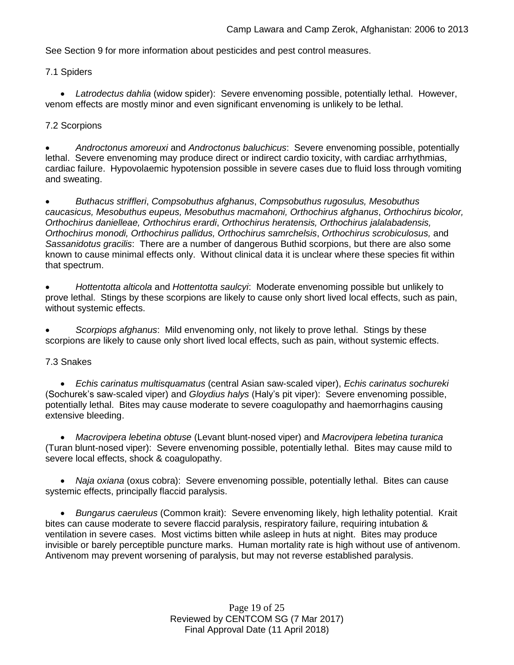See Section 9 for more information about pesticides and pest control measures.

7.1 Spiders

 *Latrodectus dahlia* (widow spider): Severe envenoming possible, potentially lethal. However, venom effects are mostly minor and even significant envenoming is unlikely to be lethal.

### 7.2 Scorpions

 *Androctonus amoreuxi* and *Androctonus baluchicus*: Severe envenoming possible, potentially lethal. Severe envenoming may produce direct or indirect cardio toxicity, with cardiac arrhythmias, cardiac failure. Hypovolaemic hypotension possible in severe cases due to fluid loss through vomiting and sweating.

 *Buthacus striffleri*, *Compsobuthus afghanus*, *Compsobuthus rugosulus, Mesobuthus caucasicus, Mesobuthus eupeus, Mesobuthus macmahoni, Orthochirus afghanus*, *Orthochirus bicolor, Orthochirus danielleae, Orthochirus erardi*, *Orthochirus heratensis, Orthochirus jalalabadensis, Orthochirus monodi, Orthochirus pallidus, Orthochirus samrchelsis*, *Orthochirus scrobiculosus,* and *Sassanidotus gracilis*: There are a number of dangerous Buthid scorpions, but there are also some known to cause minimal effects only. Without clinical data it is unclear where these species fit within that spectrum.

 *Hottentotta alticola* and *Hottentotta saulcyi*: Moderate envenoming possible but unlikely to prove lethal. Stings by these scorpions are likely to cause only short lived local effects, such as pain, without systemic effects.

 *Scorpiops afghanus*: Mild envenoming only, not likely to prove lethal. Stings by these scorpions are likely to cause only short lived local effects, such as pain, without systemic effects.

### 7.3 Snakes

 *Echis carinatus multisquamatus* (central Asian saw-scaled viper), *Echis carinatus sochureki* (Sochurek's saw-scaled viper) and *Gloydius halys* (Haly's pit viper): Severe envenoming possible, potentially lethal. Bites may cause moderate to severe coagulopathy and haemorrhagins causing extensive bleeding.

 *Macrovipera lebetina obtuse* (Levant blunt-nosed viper) and *Macrovipera lebetina turanica*  (Turan blunt-nosed viper): Severe envenoming possible, potentially lethal. Bites may cause mild to severe local effects, shock & coagulopathy.

 *Naja oxiana* (oxus cobra): Severe envenoming possible, potentially lethal. Bites can cause systemic effects, principally flaccid paralysis.

 *Bungarus caeruleus* (Common krait): Severe envenoming likely, high lethality potential. Krait bites can cause moderate to severe flaccid paralysis, respiratory failure, requiring intubation & ventilation in severe cases. Most victims bitten while asleep in huts at night. Bites may produce invisible or barely perceptible puncture marks. Human mortality rate is high without use of antivenom. Antivenom may prevent worsening of paralysis, but may not reverse established paralysis.

> Page 19 of 25 Reviewed by CENTCOM SG (7 Mar 2017) Final Approval Date (11 April 2018)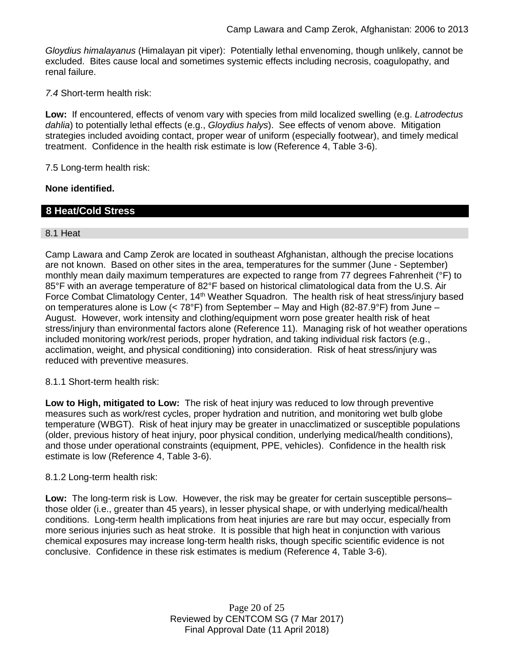*Gloydius himalayanus* (Himalayan pit viper): Potentially lethal envenoming, though unlikely, cannot be excluded. Bites cause local and sometimes systemic effects including necrosis, coagulopathy, and renal failure.

*7.4* Short-term health risk:

**Low:** If encountered, effects of venom vary with species from mild localized swelling (e.g. *Latrodectus dahlia*) to potentially lethal effects (e.g., *Gloydius halys*). See effects of venom above. Mitigation strategies included avoiding contact, proper wear of uniform (especially footwear), and timely medical treatment. Confidence in the health risk estimate is low (Reference 4, Table 3-6).

7.5 Long-term health risk:

### **None identified.**

# **8 Heat/Cold Stress**

### 8.1 Heat

Camp Lawara and Camp Zerok are located in southeast Afghanistan, although the precise locations are not known. Based on other sites in the area, temperatures for the summer (June - September) monthly mean daily maximum temperatures are expected to range from 77 degrees Fahrenheit (°F) to 85°F with an average temperature of 82°F based on historical climatological data from the U.S. Air Force Combat Climatology Center, 14<sup>th</sup> Weather Squadron. The health risk of heat stress/injury based on temperatures alone is Low ( $<$  78°F) from September – May and High (82-87.9°F) from June – August. However, work intensity and clothing/equipment worn pose greater health risk of heat stress/injury than environmental factors alone (Reference 11). Managing risk of hot weather operations included monitoring work/rest periods, proper hydration, and taking individual risk factors (e.g., acclimation, weight, and physical conditioning) into consideration. Risk of heat stress/injury was reduced with preventive measures.

### 8.1.1 Short-term health risk:

**Low to High, mitigated to Low:** The risk of heat injury was reduced to low through preventive measures such as work/rest cycles, proper hydration and nutrition, and monitoring wet bulb globe temperature (WBGT). Risk of heat injury may be greater in unacclimatized or susceptible populations (older, previous history of heat injury, poor physical condition, underlying medical/health conditions), and those under operational constraints (equipment, PPE, vehicles). Confidence in the health risk estimate is low (Reference 4, Table 3-6).

### 8.1.2 Long-term health risk:

**Low:** The long-term risk is Low. However, the risk may be greater for certain susceptible persons– those older (i.e., greater than 45 years), in lesser physical shape, or with underlying medical/health conditions. Long-term health implications from heat injuries are rare but may occur, especially from more serious injuries such as heat stroke. It is possible that high heat in conjunction with various chemical exposures may increase long-term health risks, though specific scientific evidence is not conclusive. Confidence in these risk estimates is medium (Reference 4, Table 3-6).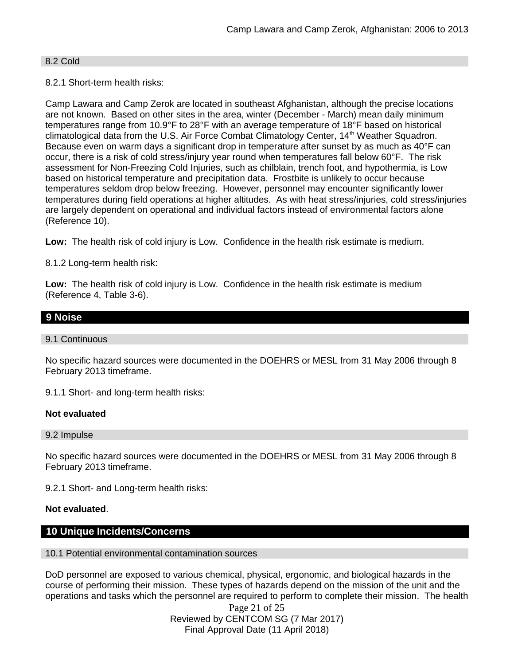### 8.2 Cold

### 8.2.1 Short-term health risks:

Camp Lawara and Camp Zerok are located in southeast Afghanistan, although the precise locations are not known. Based on other sites in the area, winter (December - March) mean daily minimum temperatures range from 10.9°F to 28°F with an average temperature of 18°F based on historical climatological data from the U.S. Air Force Combat Climatology Center, 14<sup>th</sup> Weather Squadron. Because even on warm days a significant drop in temperature after sunset by as much as 40°F can occur, there is a risk of cold stress/injury year round when temperatures fall below 60°F. The risk assessment for Non-Freezing Cold Injuries, such as chilblain, trench foot, and hypothermia, is Low based on historical temperature and precipitation data. Frostbite is unlikely to occur because temperatures seldom drop below freezing. However, personnel may encounter significantly lower temperatures during field operations at higher altitudes. As with heat stress/injuries, cold stress/injuries are largely dependent on operational and individual factors instead of environmental factors alone (Reference 10).

**Low:** The health risk of cold injury is Low. Confidence in the health risk estimate is medium.

8.1.2 Long-term health risk:

**Low:** The health risk of cold injury is Low. Confidence in the health risk estimate is medium (Reference 4, Table 3-6).

# **9 Noise**

#### 9.1 Continuous

No specific hazard sources were documented in the DOEHRS or MESL from 31 May 2006 through 8 February 2013 timeframe.

9.1.1 Short- and long-term health risks:

### **Not evaluated**

9.2 Impulse

No specific hazard sources were documented in the DOEHRS or MESL from 31 May 2006 through 8 February 2013 timeframe.

9.2.1 Short- and Long-term health risks:

### **Not evaluated**.

### **10 Unique Incidents/Concerns**

#### 10.1 Potential environmental contamination sources

DoD personnel are exposed to various chemical, physical, ergonomic, and biological hazards in the course of performing their mission. These types of hazards depend on the mission of the unit and the operations and tasks which the personnel are required to perform to complete their mission. The health

> Page 21 of 25 Reviewed by CENTCOM SG (7 Mar 2017) Final Approval Date (11 April 2018)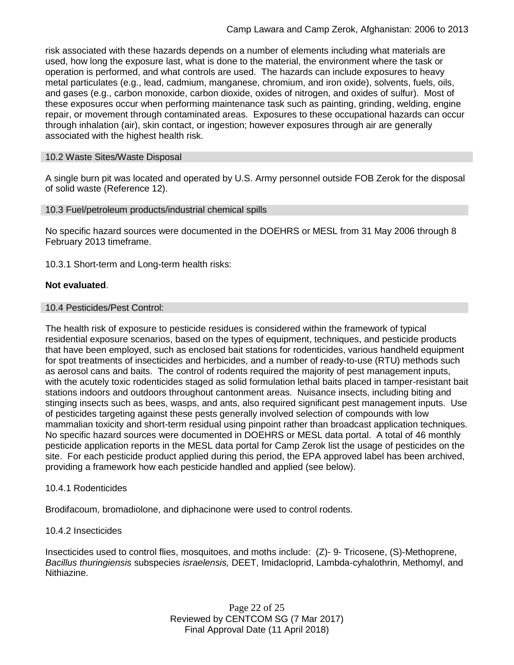risk associated with these hazards depends on a number of elements including what materials are used, how long the exposure last, what is done to the material, the environment where the task or operation is performed, and what controls are used. The hazards can include exposures to heavy metal particulates (e.g., lead, cadmium, manganese, chromium, and iron oxide), solvents, fuels, oils, and gases (e.g., carbon monoxide, carbon dioxide, oxides of nitrogen, and oxides of sulfur). Most of these exposures occur when performing maintenance task such as painting, grinding, welding, engine repair, or movement through contaminated areas. Exposures to these occupational hazards can occur through inhalation (air), skin contact, or ingestion; however exposures through air are generally associated with the highest health risk.

### 10.2 Waste Sites/Waste Disposal

A single burn pit was located and operated by U.S. Army personnel outside FOB Zerok for the disposal of solid waste (Reference 12).

### 10.3 Fuel/petroleum products/industrial chemical spills

No specific hazard sources were documented in the DOEHRS or MESL from 31 May 2006 through 8 February 2013 timeframe.

10.3.1 Short-term and Long-term health risks:

#### **Not evaluated**.

#### 10.4 Pesticides/Pest Control:

The health risk of exposure to pesticide residues is considered within the framework of typical residential exposure scenarios, based on the types of equipment, techniques, and pesticide products that have been employed, such as enclosed bait stations for rodenticides, various handheld equipment for spot treatments of insecticides and herbicides, and a number of ready-to-use (RTU) methods such as aerosol cans and baits. The control of rodents required the majority of pest management inputs, with the acutely toxic rodenticides staged as solid formulation lethal baits placed in tamper-resistant bait stations indoors and outdoors throughout cantonment areas. Nuisance insects, including biting and stinging insects such as bees, wasps, and ants, also required significant pest management inputs. Use of pesticides targeting against these pests generally involved selection of compounds with low mammalian toxicity and short-term residual using pinpoint rather than broadcast application techniques. No specific hazard sources were documented in DOEHRS or MESL data portal. A total of 46 monthly pesticide application reports in the MESL data portal for Camp Zerok list the usage of pesticides on the site. For each pesticide product applied during this period, the EPA approved label has been archived, providing a framework how each pesticide handled and applied (see below).

### 10.4.1 Rodenticides

Brodifacoum, bromadiolone, and diphacinone were used to control rodents.

### 10.4.2 Insecticides

Insecticides used to control flies, mosquitoes, and moths include: (Z)- 9- Tricosene, (S)-Methoprene, *Bacillus thuringiensis* subspecies *israelensis,* DEET, Imidacloprid, Lambda-cyhalothrin, Methomyl, and Nithiazine.

> Page 22 of 25 Reviewed by CENTCOM SG (7 Mar 2017) Final Approval Date (11 April 2018)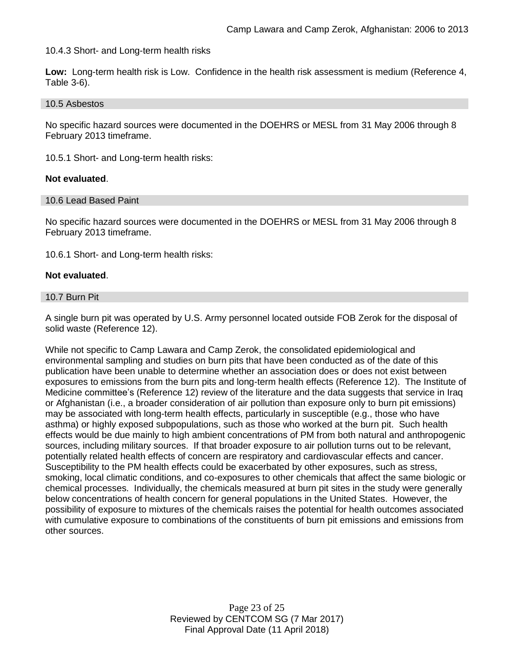10.4.3 Short- and Long-term health risks

**Low:** Long-term health risk is Low. Confidence in the health risk assessment is medium (Reference 4, Table 3-6).

#### 10.5 Asbestos

No specific hazard sources were documented in the DOEHRS or MESL from 31 May 2006 through 8 February 2013 timeframe.

10.5.1 Short- and Long-term health risks:

### **Not evaluated**.

#### 10.6 Lead Based Paint

No specific hazard sources were documented in the DOEHRS or MESL from 31 May 2006 through 8 February 2013 timeframe.

10.6.1 Short- and Long-term health risks:

### **Not evaluated**.

#### 10.7 Burn Pit

A single burn pit was operated by U.S. Army personnel located outside FOB Zerok for the disposal of solid waste (Reference 12).

While not specific to Camp Lawara and Camp Zerok, the consolidated epidemiological and environmental sampling and studies on burn pits that have been conducted as of the date of this publication have been unable to determine whether an association does or does not exist between exposures to emissions from the burn pits and long-term health effects (Reference 12). The Institute of Medicine committee's (Reference 12) review of the literature and the data suggests that service in Iraq or Afghanistan (i.e., a broader consideration of air pollution than exposure only to burn pit emissions) may be associated with long-term health effects, particularly in susceptible (e.g., those who have asthma) or highly exposed subpopulations, such as those who worked at the burn pit. Such health effects would be due mainly to high ambient concentrations of PM from both natural and anthropogenic sources, including military sources. If that broader exposure to air pollution turns out to be relevant, potentially related health effects of concern are respiratory and cardiovascular effects and cancer. Susceptibility to the PM health effects could be exacerbated by other exposures, such as stress, smoking, local climatic conditions, and co-exposures to other chemicals that affect the same biologic or chemical processes. Individually, the chemicals measured at burn pit sites in the study were generally below concentrations of health concern for general populations in the United States. However, the possibility of exposure to mixtures of the chemicals raises the potential for health outcomes associated with cumulative exposure to combinations of the constituents of burn pit emissions and emissions from other sources.

> Page 23 of 25 Reviewed by CENTCOM SG (7 Mar 2017) Final Approval Date (11 April 2018)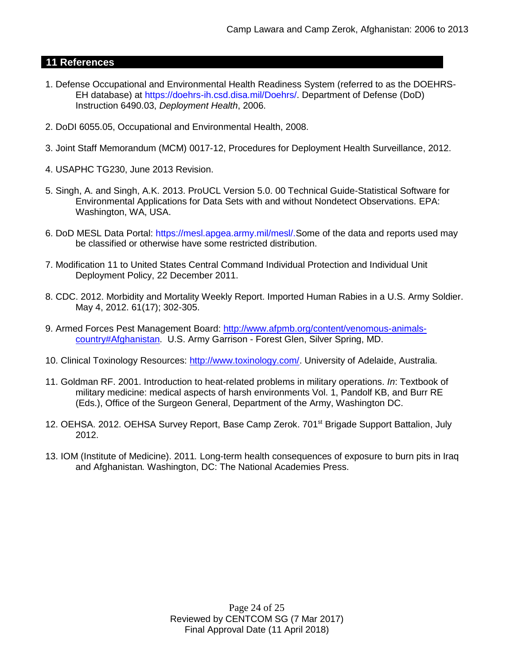# **11 References**

- 1. Defense Occupational and Environmental Health Readiness System (referred to as the DOEHRS-EH database) at https://doehrs-ih.csd.disa.mil/Doehrs/. Department of Defense (DoD) Instruction 6490.03, *Deployment Health*, 2006.
- 2. DoDI 6055.05, Occupational and Environmental Health, 2008.
- 3. Joint Staff Memorandum (MCM) 0017-12, Procedures for Deployment Health Surveillance, 2012.
- 4. USAPHC TG230, June 2013 Revision.
- 5. Singh, A. and Singh, A.K. 2013. ProUCL Version 5.0. 00 Technical Guide-Statistical Software for Environmental Applications for Data Sets with and without Nondetect Observations. EPA: Washington, WA, USA.
- 6. DoD MESL Data Portal: https://mesl.apgea.army.mil/mesl/.Some of the data and reports used may be classified or otherwise have some restricted distribution.
- 7. Modification 11 to United States Central Command Individual Protection and Individual Unit Deployment Policy, 22 December 2011.
- 8. CDC. 2012. Morbidity and Mortality Weekly Report. Imported Human Rabies in a U.S. Army Soldier. May 4, 2012. 61(17); 302-305.
- 9. Armed Forces Pest Management Board: [http://www.afpmb.org/content/venomous-animals](http://www.afpmb.org/content/venomous-animals-country#Afghanistan)[country#Afghanistan.](http://www.afpmb.org/content/venomous-animals-country#Afghanistan) U.S. Army Garrison - Forest Glen, Silver Spring, MD.
- 10. Clinical Toxinology Resources: [http://www.toxinology.com/.](http://www.toxinology.com/) University of Adelaide, Australia.
- 11. Goldman RF. 2001. Introduction to heat-related problems in military operations. *In*: Textbook of military medicine: medical aspects of harsh environments Vol. 1, Pandolf KB, and Burr RE (Eds.), Office of the Surgeon General, Department of the Army, Washington DC.
- 12. OEHSA. 2012. OEHSA Survey Report, Base Camp Zerok. 701<sup>st</sup> Brigade Support Battalion, July 2012.
- 13. IOM (Institute of Medicine). 2011*.* Long-term health consequences of exposure to burn pits in Iraq and Afghanistan*.* Washington, DC: The National Academies Press.